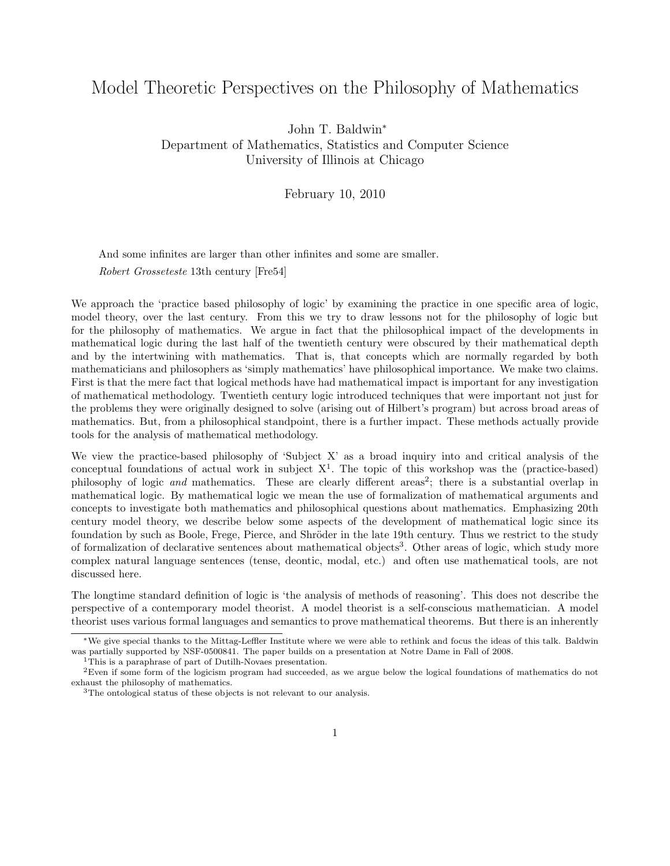# Model Theoretic Perspectives on the Philosophy of Mathematics

John T. Baldwin<sup>∗</sup>

Department of Mathematics, Statistics and Computer Science University of Illinois at Chicago

February 10, 2010

And some infinites are larger than other infinites and some are smaller. Robert Grosseteste 13th century [Fre54]

We approach the 'practice based philosophy of logic' by examining the practice in one specific area of logic, model theory, over the last century. From this we try to draw lessons not for the philosophy of logic but for the philosophy of mathematics. We argue in fact that the philosophical impact of the developments in mathematical logic during the last half of the twentieth century were obscured by their mathematical depth and by the intertwining with mathematics. That is, that concepts which are normally regarded by both mathematicians and philosophers as 'simply mathematics' have philosophical importance. We make two claims. First is that the mere fact that logical methods have had mathematical impact is important for any investigation of mathematical methodology. Twentieth century logic introduced techniques that were important not just for the problems they were originally designed to solve (arising out of Hilbert's program) but across broad areas of mathematics. But, from a philosophical standpoint, there is a further impact. These methods actually provide tools for the analysis of mathematical methodology.

We view the practice-based philosophy of 'Subject X' as a broad inquiry into and critical analysis of the conceptual foundations of actual work in subject  $X^1$ . The topic of this workshop was the (practice-based) philosophy of logic and mathematics. These are clearly different areas<sup>2</sup>; there is a substantial overlap in mathematical logic. By mathematical logic we mean the use of formalization of mathematical arguments and concepts to investigate both mathematics and philosophical questions about mathematics. Emphasizing 20th century model theory, we describe below some aspects of the development of mathematical logic since its foundation by such as Boole, Frege, Pierce, and Shröder in the late 19th century. Thus we restrict to the study of formalization of declarative sentences about mathematical objects<sup>3</sup>. Other areas of logic, which study more complex natural language sentences (tense, deontic, modal, etc.) and often use mathematical tools, are not discussed here.

The longtime standard definition of logic is 'the analysis of methods of reasoning'. This does not describe the perspective of a contemporary model theorist. A model theorist is a self-conscious mathematician. A model theorist uses various formal languages and semantics to prove mathematical theorems. But there is an inherently

<sup>1</sup>This is a paraphrase of part of Dutilh-Novaes presentation.

<sup>∗</sup>We give special thanks to the Mittag-Leffler Institute where we were able to rethink and focus the ideas of this talk. Baldwin was partially supported by NSF-0500841. The paper builds on a presentation at Notre Dame in Fall of 2008.

<sup>&</sup>lt;sup>2</sup>Even if some form of the logicism program had succeeded, as we argue below the logical foundations of mathematics do not exhaust the philosophy of mathematics.

<sup>&</sup>lt;sup>3</sup>The ontological status of these objects is not relevant to our analysis.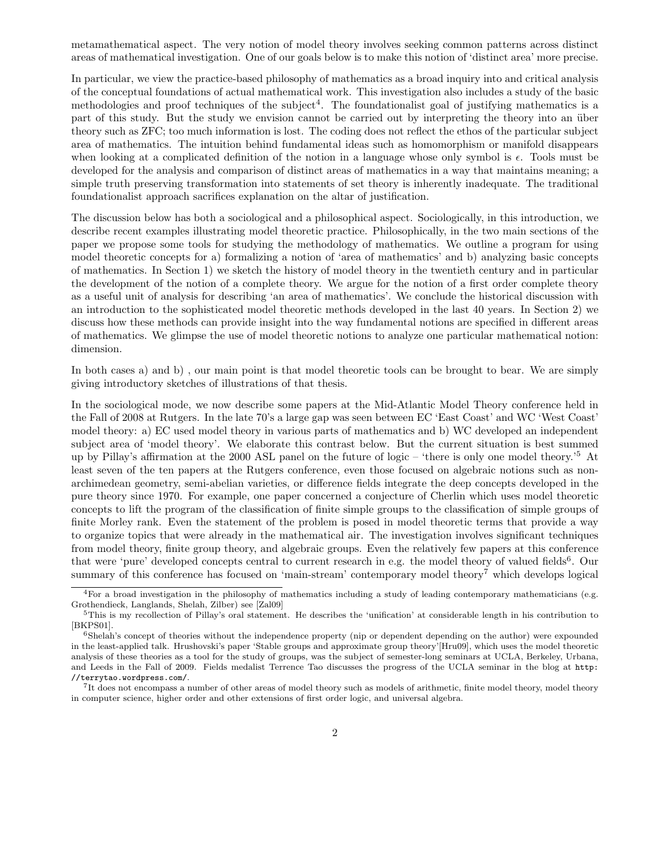metamathematical aspect. The very notion of model theory involves seeking common patterns across distinct areas of mathematical investigation. One of our goals below is to make this notion of 'distinct area' more precise.

In particular, we view the practice-based philosophy of mathematics as a broad inquiry into and critical analysis of the conceptual foundations of actual mathematical work. This investigation also includes a study of the basic methodologies and proof techniques of the subject<sup>4</sup>. The foundationalist goal of justifying mathematics is a part of this study. But the study we envision cannot be carried out by interpreting the theory into an über theory such as ZFC; too much information is lost. The coding does not reflect the ethos of the particular subject area of mathematics. The intuition behind fundamental ideas such as homomorphism or manifold disappears when looking at a complicated definition of the notion in a language whose only symbol is  $\epsilon$ . Tools must be developed for the analysis and comparison of distinct areas of mathematics in a way that maintains meaning; a simple truth preserving transformation into statements of set theory is inherently inadequate. The traditional foundationalist approach sacrifices explanation on the altar of justification.

The discussion below has both a sociological and a philosophical aspect. Sociologically, in this introduction, we describe recent examples illustrating model theoretic practice. Philosophically, in the two main sections of the paper we propose some tools for studying the methodology of mathematics. We outline a program for using model theoretic concepts for a) formalizing a notion of 'area of mathematics' and b) analyzing basic concepts of mathematics. In Section 1) we sketch the history of model theory in the twentieth century and in particular the development of the notion of a complete theory. We argue for the notion of a first order complete theory as a useful unit of analysis for describing 'an area of mathematics'. We conclude the historical discussion with an introduction to the sophisticated model theoretic methods developed in the last 40 years. In Section 2) we discuss how these methods can provide insight into the way fundamental notions are specified in different areas of mathematics. We glimpse the use of model theoretic notions to analyze one particular mathematical notion: dimension.

In both cases a) and b) , our main point is that model theoretic tools can be brought to bear. We are simply giving introductory sketches of illustrations of that thesis.

In the sociological mode, we now describe some papers at the Mid-Atlantic Model Theory conference held in the Fall of 2008 at Rutgers. In the late 70's a large gap was seen between EC 'East Coast' and WC 'West Coast' model theory: a) EC used model theory in various parts of mathematics and b) WC developed an independent subject area of 'model theory'. We elaborate this contrast below. But the current situation is best summed up by Pillay's affirmation at the 2000 ASL panel on the future of logic – 'there is only one model theory.'<sup>5</sup> At least seven of the ten papers at the Rutgers conference, even those focused on algebraic notions such as nonarchimedean geometry, semi-abelian varieties, or difference fields integrate the deep concepts developed in the pure theory since 1970. For example, one paper concerned a conjecture of Cherlin which uses model theoretic concepts to lift the program of the classification of finite simple groups to the classification of simple groups of finite Morley rank. Even the statement of the problem is posed in model theoretic terms that provide a way to organize topics that were already in the mathematical air. The investigation involves significant techniques from model theory, finite group theory, and algebraic groups. Even the relatively few papers at this conference that were 'pure' developed concepts central to current research in e.g. the model theory of valued fields<sup>6</sup>. Our summary of this conference has focused on 'main-stream' contemporary model theory<sup>7</sup> which develops logical

 ${}^{4}$ For a broad investigation in the philosophy of mathematics including a study of leading contemporary mathematicians (e.g. Grothendieck, Langlands, Shelah, Zilber) see [Zal09]

 $5$ This is my recollection of Pillay's oral statement. He describes the 'unification' at considerable length in his contribution to [BKPS01].

<sup>6</sup>Shelah's concept of theories without the independence property (nip or dependent depending on the author) were expounded in the least-applied talk. Hrushovski's paper 'Stable groups and approximate group theory'[Hru09], which uses the model theoretic analysis of these theories as a tool for the study of groups, was the subject of semester-long seminars at UCLA, Berkeley, Urbana, and Leeds in the Fall of 2009. Fields medalist Terrence Tao discusses the progress of the UCLA seminar in the blog at http: //terrytao.wordpress.com/.

<sup>7</sup> It does not encompass a number of other areas of model theory such as models of arithmetic, finite model theory, model theory in computer science, higher order and other extensions of first order logic, and universal algebra.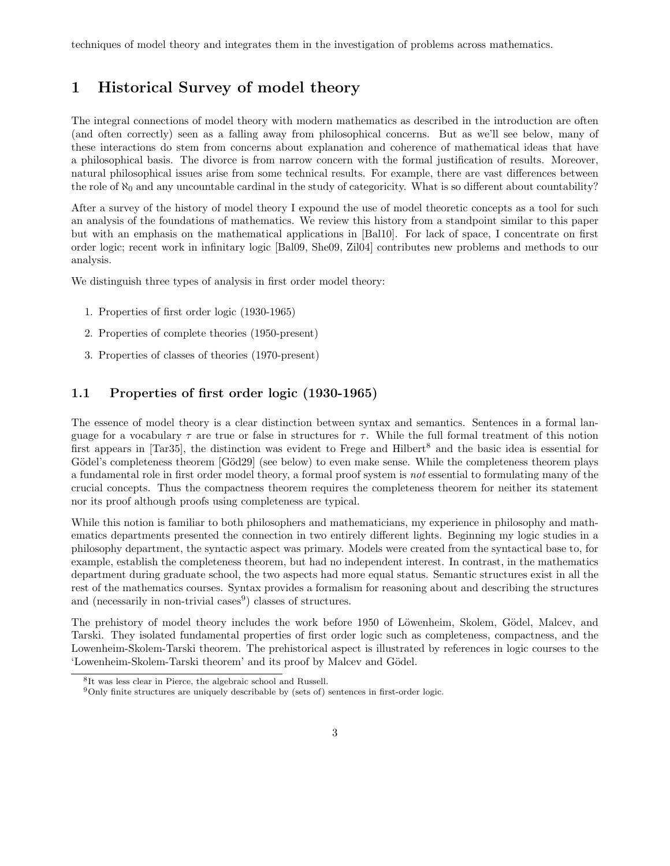techniques of model theory and integrates them in the investigation of problems across mathematics.

# 1 Historical Survey of model theory

The integral connections of model theory with modern mathematics as described in the introduction are often (and often correctly) seen as a falling away from philosophical concerns. But as we'll see below, many of these interactions do stem from concerns about explanation and coherence of mathematical ideas that have a philosophical basis. The divorce is from narrow concern with the formal justification of results. Moreover, natural philosophical issues arise from some technical results. For example, there are vast differences between the role of  $\aleph_0$  and any uncountable cardinal in the study of categoricity. What is so different about countability?

After a survey of the history of model theory I expound the use of model theoretic concepts as a tool for such an analysis of the foundations of mathematics. We review this history from a standpoint similar to this paper but with an emphasis on the mathematical applications in [Bal10]. For lack of space, I concentrate on first order logic; recent work in infinitary logic [Bal09, She09, Zil04] contributes new problems and methods to our analysis.

We distinguish three types of analysis in first order model theory:

- 1. Properties of first order logic (1930-1965)
- 2. Properties of complete theories (1950-present)
- 3. Properties of classes of theories (1970-present)

### 1.1 Properties of first order logic (1930-1965)

The essence of model theory is a clear distinction between syntax and semantics. Sentences in a formal language for a vocabulary  $\tau$  are true or false in structures for  $\tau$ . While the full formal treatment of this notion first appears in  $[Tar35]$ , the distinction was evident to Frege and Hilbert<sup>8</sup> and the basic idea is essential for Gödel's completeness theorem [Göd29] (see below) to even make sense. While the completeness theorem plays a fundamental role in first order model theory, a formal proof system is not essential to formulating many of the crucial concepts. Thus the compactness theorem requires the completeness theorem for neither its statement nor its proof although proofs using completeness are typical.

While this notion is familiar to both philosophers and mathematicians, my experience in philosophy and mathematics departments presented the connection in two entirely different lights. Beginning my logic studies in a philosophy department, the syntactic aspect was primary. Models were created from the syntactical base to, for example, establish the completeness theorem, but had no independent interest. In contrast, in the mathematics department during graduate school, the two aspects had more equal status. Semantic structures exist in all the rest of the mathematics courses. Syntax provides a formalism for reasoning about and describing the structures and (necessarily in non-trivial cases<sup>9</sup>) classes of structures.

The prehistory of model theory includes the work before 1950 of Löwenheim, Skolem, Gödel, Malcev, and Tarski. They isolated fundamental properties of first order logic such as completeness, compactness, and the Lowenheim-Skolem-Tarski theorem. The prehistorical aspect is illustrated by references in logic courses to the 'Lowenheim-Skolem-Tarski theorem' and its proof by Malcev and Gödel.

<sup>8</sup> It was less clear in Pierce, the algebraic school and Russell.

<sup>9</sup>Only finite structures are uniquely describable by (sets of) sentences in first-order logic.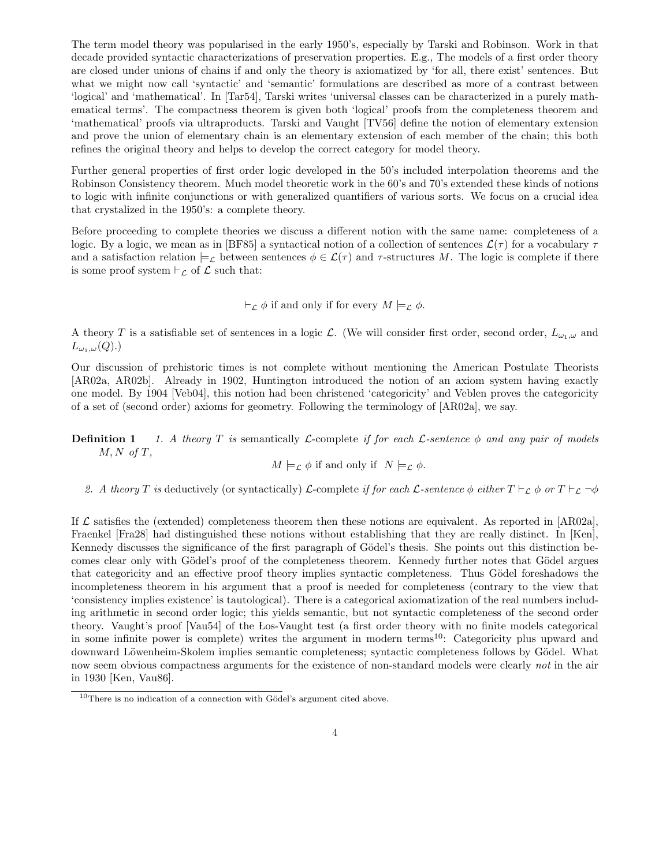The term model theory was popularised in the early 1950's, especially by Tarski and Robinson. Work in that decade provided syntactic characterizations of preservation properties. E.g., The models of a first order theory are closed under unions of chains if and only the theory is axiomatized by 'for all, there exist' sentences. But what we might now call 'syntactic' and 'semantic' formulations are described as more of a contrast between 'logical' and 'mathematical'. In [Tar54], Tarski writes 'universal classes can be characterized in a purely mathematical terms'. The compactness theorem is given both 'logical' proofs from the completeness theorem and 'mathematical' proofs via ultraproducts. Tarski and Vaught [TV56] define the notion of elementary extension and prove the union of elementary chain is an elementary extension of each member of the chain; this both refines the original theory and helps to develop the correct category for model theory.

Further general properties of first order logic developed in the 50's included interpolation theorems and the Robinson Consistency theorem. Much model theoretic work in the 60's and 70's extended these kinds of notions to logic with infinite conjunctions or with generalized quantifiers of various sorts. We focus on a crucial idea that crystalized in the 1950's: a complete theory.

Before proceeding to complete theories we discuss a different notion with the same name: completeness of a logic. By a logic, we mean as in [BF85] a syntactical notion of a collection of sentences  $\mathcal{L}(\tau)$  for a vocabulary  $\tau$ and a satisfaction relation  $\models_{\mathcal{L}}$  between sentences  $\phi \in \mathcal{L}(\tau)$  and  $\tau$ -structures M. The logic is complete if there is some proof system  $\vdash_{\mathcal{L}}$  of  $\mathcal{L}$  such that:

 $\vdash_{\mathcal{L}} \phi$  if and only if for every  $M \models_{\mathcal{L}} \phi$ .

A theory T is a satisfiable set of sentences in a logic L. (We will consider first order, second order,  $L_{\omega_1,\omega}$  and  $L_{\omega_1,\omega}(Q)$ .)

Our discussion of prehistoric times is not complete without mentioning the American Postulate Theorists [AR02a, AR02b]. Already in 1902, Huntington introduced the notion of an axiom system having exactly one model. By 1904 [Veb04], this notion had been christened 'categoricity' and Veblen proves the categoricity of a set of (second order) axioms for geometry. Following the terminology of [AR02a], we say.

**Definition 1** 1. A theory T is semantically L-complete if for each L-sentence  $\phi$  and any pair of models  $M, N$  of  $T$ ,

 $M \models_{\mathcal{C}} \phi$  if and only if  $N \models_{\mathcal{C}} \phi$ .

2. A theory T is deductively (or syntactically) L-complete if for each L-sentence  $\phi$  either  $T \vdash_L \phi$  or  $T \vdash_L \neg \phi$ 

If  $\mathcal L$  satisfies the (extended) completeness theorem then these notions are equivalent. As reported in [AR02a], Fraenkel [Fra28] had distinguished these notions without establishing that they are really distinct. In [Ken], Kennedy discusses the significance of the first paragraph of Gödel's thesis. She points out this distinction becomes clear only with Gödel's proof of the completeness theorem. Kennedy further notes that Gödel argues that categoricity and an effective proof theory implies syntactic completeness. Thus Gödel foreshadows the incompleteness theorem in his argument that a proof is needed for completeness (contrary to the view that 'consistency implies existence' is tautological). There is a categorical axiomatization of the real numbers including arithmetic in second order logic; this yields semantic, but not syntactic completeness of the second order theory. Vaught's proof [Vau54] of the Los-Vaught test (a first order theory with no finite models categorical in some infinite power is complete) writes the argument in modern terms<sup>10</sup>: Categoricity plus upward and downward Löwenheim-Skolem implies semantic completeness; syntactic completeness follows by Gödel. What now seem obvious compactness arguments for the existence of non-standard models were clearly not in the air in 1930 [Ken, Vau86].

 $10$ There is no indication of a connection with Gödel's argument cited above.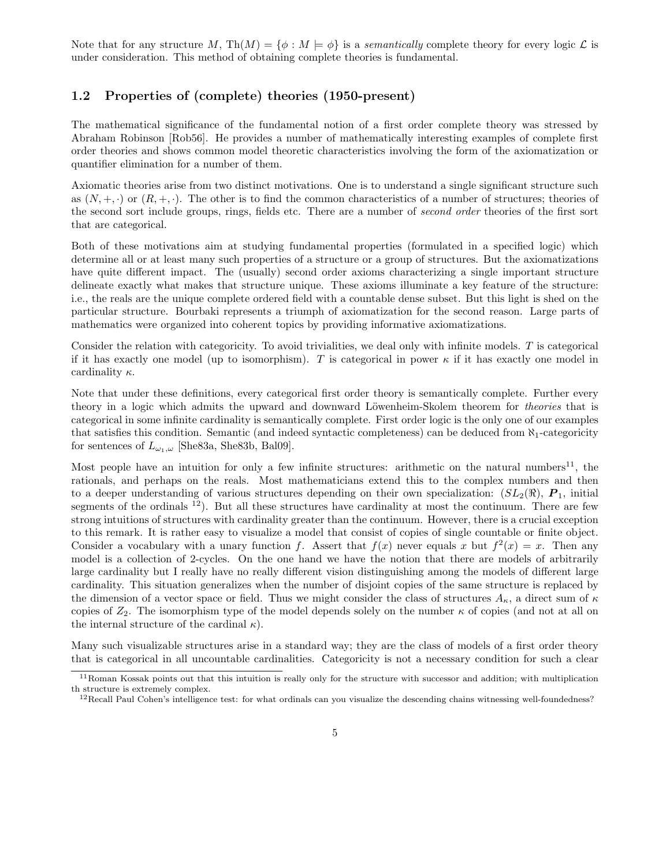Note that for any structure M,  $\text{Th}(M) = \{\phi : M \models \phi\}$  is a semantically complete theory for every logic  $\mathcal L$  is under consideration. This method of obtaining complete theories is fundamental.

### 1.2 Properties of (complete) theories (1950-present)

The mathematical significance of the fundamental notion of a first order complete theory was stressed by Abraham Robinson [Rob56]. He provides a number of mathematically interesting examples of complete first order theories and shows common model theoretic characteristics involving the form of the axiomatization or quantifier elimination for a number of them.

Axiomatic theories arise from two distinct motivations. One is to understand a single significant structure such as  $(N, +, \cdot)$  or  $(R, +, \cdot)$ . The other is to find the common characteristics of a number of structures; theories of the second sort include groups, rings, fields etc. There are a number of second order theories of the first sort that are categorical.

Both of these motivations aim at studying fundamental properties (formulated in a specified logic) which determine all or at least many such properties of a structure or a group of structures. But the axiomatizations have quite different impact. The (usually) second order axioms characterizing a single important structure delineate exactly what makes that structure unique. These axioms illuminate a key feature of the structure: i.e., the reals are the unique complete ordered field with a countable dense subset. But this light is shed on the particular structure. Bourbaki represents a triumph of axiomatization for the second reason. Large parts of mathematics were organized into coherent topics by providing informative axiomatizations.

Consider the relation with categoricity. To avoid trivialities, we deal only with infinite models. T is categorical if it has exactly one model (up to isomorphism). T is categorical in power  $\kappa$  if it has exactly one model in cardinality  $\kappa$ .

Note that under these definitions, every categorical first order theory is semantically complete. Further every theory in a logic which admits the upward and downward Löwenheim-Skolem theorem for *theories* that is categorical in some infinite cardinality is semantically complete. First order logic is the only one of our examples that satisfies this condition. Semantic (and indeed syntactic completeness) can be deduced from  $\aleph_1$ -categoricity for sentences of  $L_{\omega_1,\omega}$  [She83a, She83b, Bal09].

Most people have an intuition for only a few infinite structures: arithmetic on the natural numbers<sup>11</sup>, the rationals, and perhaps on the reals. Most mathematicians extend this to the complex numbers and then to a deeper understanding of various structures depending on their own specialization:  $(SL_2(\Re), P_1$ , initial segments of the ordinals  $^{12}$ ). But all these structures have cardinality at most the continuum. There are few strong intuitions of structures with cardinality greater than the continuum. However, there is a crucial exception to this remark. It is rather easy to visualize a model that consist of copies of single countable or finite object. Consider a vocabulary with a unary function f. Assert that  $f(x)$  never equals x but  $f^{2}(x) = x$ . Then any model is a collection of 2-cycles. On the one hand we have the notion that there are models of arbitrarily large cardinality but I really have no really different vision distinguishing among the models of different large cardinality. This situation generalizes when the number of disjoint copies of the same structure is replaced by the dimension of a vector space or field. Thus we might consider the class of structures  $A_{\kappa}$ , a direct sum of  $\kappa$ copies of  $Z_2$ . The isomorphism type of the model depends solely on the number  $\kappa$  of copies (and not at all on the internal structure of the cardinal  $\kappa$ ).

Many such visualizable structures arise in a standard way; they are the class of models of a first order theory that is categorical in all uncountable cardinalities. Categoricity is not a necessary condition for such a clear

<sup>11</sup>Roman Kossak points out that this intuition is really only for the structure with successor and addition; with multiplication th structure is extremely complex.

 $12$ Recall Paul Cohen's intelligence test: for what ordinals can you visualize the descending chains witnessing well-foundedness?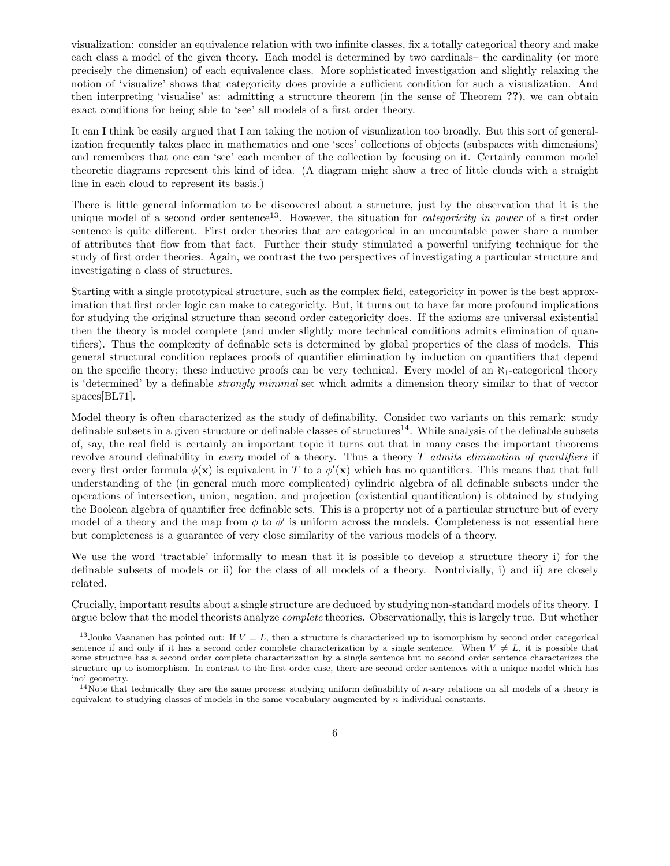visualization: consider an equivalence relation with two infinite classes, fix a totally categorical theory and make each class a model of the given theory. Each model is determined by two cardinals– the cardinality (or more precisely the dimension) of each equivalence class. More sophisticated investigation and slightly relaxing the notion of 'visualize' shows that categoricity does provide a sufficient condition for such a visualization. And then interpreting 'visualise' as: admitting a structure theorem (in the sense of Theorem ??), we can obtain exact conditions for being able to 'see' all models of a first order theory.

It can I think be easily argued that I am taking the notion of visualization too broadly. But this sort of generalization frequently takes place in mathematics and one 'sees' collections of objects (subspaces with dimensions) and remembers that one can 'see' each member of the collection by focusing on it. Certainly common model theoretic diagrams represent this kind of idea. (A diagram might show a tree of little clouds with a straight line in each cloud to represent its basis.)

There is little general information to be discovered about a structure, just by the observation that it is the unique model of a second order sentence<sup>13</sup>. However, the situation for *categoricity in power* of a first order sentence is quite different. First order theories that are categorical in an uncountable power share a number of attributes that flow from that fact. Further their study stimulated a powerful unifying technique for the study of first order theories. Again, we contrast the two perspectives of investigating a particular structure and investigating a class of structures.

Starting with a single prototypical structure, such as the complex field, categoricity in power is the best approximation that first order logic can make to categoricity. But, it turns out to have far more profound implications for studying the original structure than second order categoricity does. If the axioms are universal existential then the theory is model complete (and under slightly more technical conditions admits elimination of quantifiers). Thus the complexity of definable sets is determined by global properties of the class of models. This general structural condition replaces proofs of quantifier elimination by induction on quantifiers that depend on the specific theory; these inductive proofs can be very technical. Every model of an  $\aleph_1$ -categorical theory is 'determined' by a definable *strongly minimal* set which admits a dimension theory similar to that of vector spaces[BL71].

Model theory is often characterized as the study of definability. Consider two variants on this remark: study definable subsets in a given structure or definable classes of structures<sup>14</sup>. While analysis of the definable subsets of, say, the real field is certainly an important topic it turns out that in many cases the important theorems revolve around definability in every model of a theory. Thus a theory  $T$  admits elimination of quantifiers if every first order formula  $\phi(\mathbf{x})$  is equivalent in T to a  $\phi'(\mathbf{x})$  which has no quantifiers. This means that that full understanding of the (in general much more complicated) cylindric algebra of all definable subsets under the operations of intersection, union, negation, and projection (existential quantification) is obtained by studying the Boolean algebra of quantifier free definable sets. This is a property not of a particular structure but of every model of a theory and the map from  $\phi$  to  $\phi'$  is uniform across the models. Completeness is not essential here but completeness is a guarantee of very close similarity of the various models of a theory.

We use the word 'tractable' informally to mean that it is possible to develop a structure theory i) for the definable subsets of models or ii) for the class of all models of a theory. Nontrivially, i) and ii) are closely related.

Crucially, important results about a single structure are deduced by studying non-standard models of its theory. I argue below that the model theorists analyze *complete* theories. Observationally, this is largely true. But whether

<sup>&</sup>lt;sup>13</sup>Jouko Vaananen has pointed out: If  $V = L$ , then a structure is characterized up to isomorphism by second order categorical sentence if and only if it has a second order complete characterization by a single sentence. When  $V \neq L$ , it is possible that some structure has a second order complete characterization by a single sentence but no second order sentence characterizes the structure up to isomorphism. In contrast to the first order case, there are second order sentences with a unique model which has 'no' geometry.

<sup>&</sup>lt;sup>14</sup>Note that technically they are the same process; studying uniform definability of *n*-ary relations on all models of a theory is equivalent to studying classes of models in the same vocabulary augmented by  $n$  individual constants.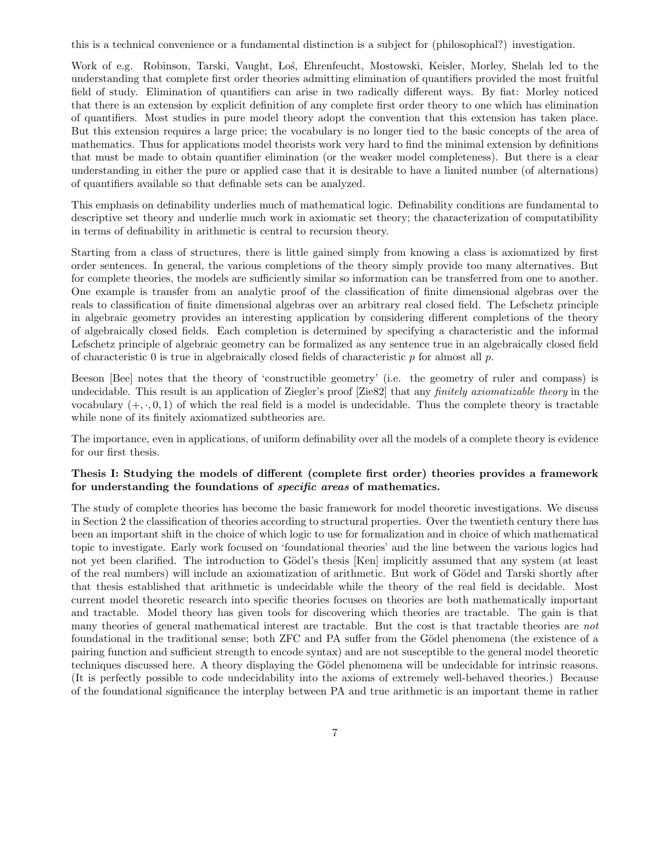this is a technical convenience or a fundamental distinction is a subject for (philosophical?) investigation.

Work of e.g. Robinson, Tarski, Vaught, Loś, Ehrenfeucht, Mostowski, Keisler, Morley, Shelah led to the understanding that complete first order theories admitting elimination of quantifiers provided the most fruitful field of study. Elimination of quantifiers can arise in two radically different ways. By fiat: Morley noticed that there is an extension by explicit definition of any complete first order theory to one which has elimination of quantifiers. Most studies in pure model theory adopt the convention that this extension has taken place. But this extension requires a large price; the vocabulary is no longer tied to the basic concepts of the area of mathematics. Thus for applications model theorists work very hard to find the minimal extension by definitions that must be made to obtain quantifier elimination (or the weaker model completeness). But there is a clear understanding in either the pure or applied case that it is desirable to have a limited number (of alternations) of quantifiers available so that definable sets can be analyzed.

This emphasis on definability underlies much of mathematical logic. Definability conditions are fundamental to descriptive set theory and underlie much work in axiomatic set theory; the characterization of computatibility in terms of definability in arithmetic is central to recursion theory.

Starting from a class of structures, there is little gained simply from knowing a class is axiomatized by first order sentences. In general, the various completions of the theory simply provide too many alternatives. But for complete theories, the models are sufficiently similar so information can be transferred from one to another. One example is transfer from an analytic proof of the classification of finite dimensional algebras over the reals to classification of finite dimensional algebras over an arbitrary real closed field. The Lefschetz principle in algebraic geometry provides an interesting application by considering different completions of the theory of algebraically closed fields. Each completion is determined by specifying a characteristic and the informal Lefschetz principle of algebraic geometry can be formalized as any sentence true in an algebraically closed field of characteristic 0 is true in algebraically closed fields of characteristic  $p$  for almost all  $p$ .

Beeson [Bee] notes that the theory of 'constructible geometry' (i.e. the geometry of ruler and compass) is undecidable. This result is an application of Ziegler's proof [Zie82] that any *finitely axiomatizable theory* in the vocabulary  $(+, 0, 1)$  of which the real field is a model is undecidable. Thus the complete theory is tractable while none of its finitely axiomatized subtheories are.

The importance, even in applications, of uniform definability over all the models of a complete theory is evidence for our first thesis.

#### Thesis I: Studying the models of different (complete first order) theories provides a framework for understanding the foundations of specific areas of mathematics.

The study of complete theories has become the basic framework for model theoretic investigations. We discuss in Section 2 the classification of theories according to structural properties. Over the twentieth century there has been an important shift in the choice of which logic to use for formalization and in choice of which mathematical topic to investigate. Early work focused on 'foundational theories' and the line between the various logics had not yet been clarified. The introduction to Gödel's thesis [Ken] implicitly assumed that any system (at least of the real numbers) will include an axiomatization of arithmetic. But work of Gödel and Tarski shortly after that thesis established that arithmetic is undecidable while the theory of the real field is decidable. Most current model theoretic research into specific theories focuses on theories are both mathematically important and tractable. Model theory has given tools for discovering which theories are tractable. The gain is that many theories of general mathematical interest are tractable. But the cost is that tractable theories are not foundational in the traditional sense; both ZFC and PA suffer from the Gödel phenomena (the existence of a pairing function and sufficient strength to encode syntax) and are not susceptible to the general model theoretic techniques discussed here. A theory displaying the Gödel phenomena will be undecidable for intrinsic reasons. (It is perfectly possible to code undecidability into the axioms of extremely well-behaved theories.) Because of the foundational significance the interplay between PA and true arithmetic is an important theme in rather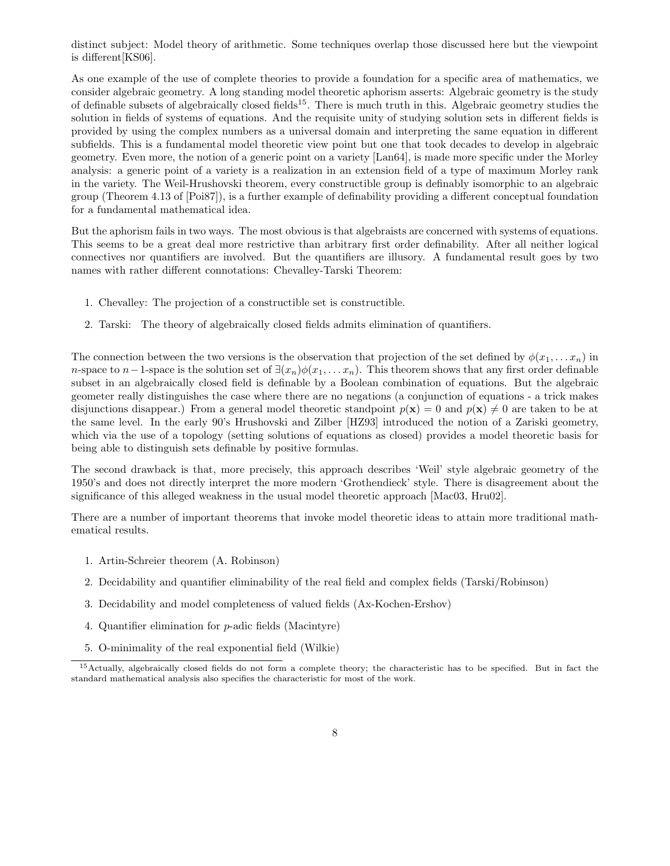distinct subject: Model theory of arithmetic. Some techniques overlap those discussed here but the viewpoint is different[KS06].

As one example of the use of complete theories to provide a foundation for a specific area of mathematics, we consider algebraic geometry. A long standing model theoretic aphorism asserts: Algebraic geometry is the study of definable subsets of algebraically closed fields<sup>15</sup>. There is much truth in this. Algebraic geometry studies the solution in fields of systems of equations. And the requisite unity of studying solution sets in different fields is provided by using the complex numbers as a universal domain and interpreting the same equation in different subfields. This is a fundamental model theoretic view point but one that took decades to develop in algebraic geometry. Even more, the notion of a generic point on a variety [Lan64], is made more specific under the Morley analysis: a generic point of a variety is a realization in an extension field of a type of maximum Morley rank in the variety. The Weil-Hrushovski theorem, every constructible group is definably isomorphic to an algebraic group (Theorem 4.13 of [Poi87]), is a further example of definability providing a different conceptual foundation for a fundamental mathematical idea.

But the aphorism fails in two ways. The most obvious is that algebraists are concerned with systems of equations. This seems to be a great deal more restrictive than arbitrary first order definability. After all neither logical connectives nor quantifiers are involved. But the quantifiers are illusory. A fundamental result goes by two names with rather different connotations: Chevalley-Tarski Theorem:

- 1. Chevalley: The projection of a constructible set is constructible.
- 2. Tarski: The theory of algebraically closed fields admits elimination of quantifiers.

The connection between the two versions is the observation that projection of the set defined by  $\phi(x_1, \ldots, x_n)$  in n-space to  $n-1$ -space is the solution set of  $\exists (x_n)\phi(x_1,\ldots,x_n)$ . This theorem shows that any first order definable subset in an algebraically closed field is definable by a Boolean combination of equations. But the algebraic geometer really distinguishes the case where there are no negations (a conjunction of equations - a trick makes disjunctions disappear.) From a general model theoretic standpoint  $p(\mathbf{x}) = 0$  and  $p(\mathbf{x}) \neq 0$  are taken to be at the same level. In the early 90's Hrushovski and Zilber [HZ93] introduced the notion of a Zariski geometry, which via the use of a topology (setting solutions of equations as closed) provides a model theoretic basis for being able to distinguish sets definable by positive formulas.

The second drawback is that, more precisely, this approach describes 'Weil' style algebraic geometry of the 1950's and does not directly interpret the more modern 'Grothendieck' style. There is disagreement about the significance of this alleged weakness in the usual model theoretic approach [Mac03, Hru02].

There are a number of important theorems that invoke model theoretic ideas to attain more traditional mathematical results.

- 1. Artin-Schreier theorem (A. Robinson)
- 2. Decidability and quantifier eliminability of the real field and complex fields (Tarski/Robinson)
- 3. Decidability and model completeness of valued fields (Ax-Kochen-Ershov)
- 4. Quantifier elimination for p-adic fields (Macintyre)
- 5. O-minimality of the real exponential field (Wilkie)

<sup>&</sup>lt;sup>15</sup>Actually, algebraically closed fields do not form a complete theory; the characteristic has to be specified. But in fact the standard mathematical analysis also specifies the characteristic for most of the work.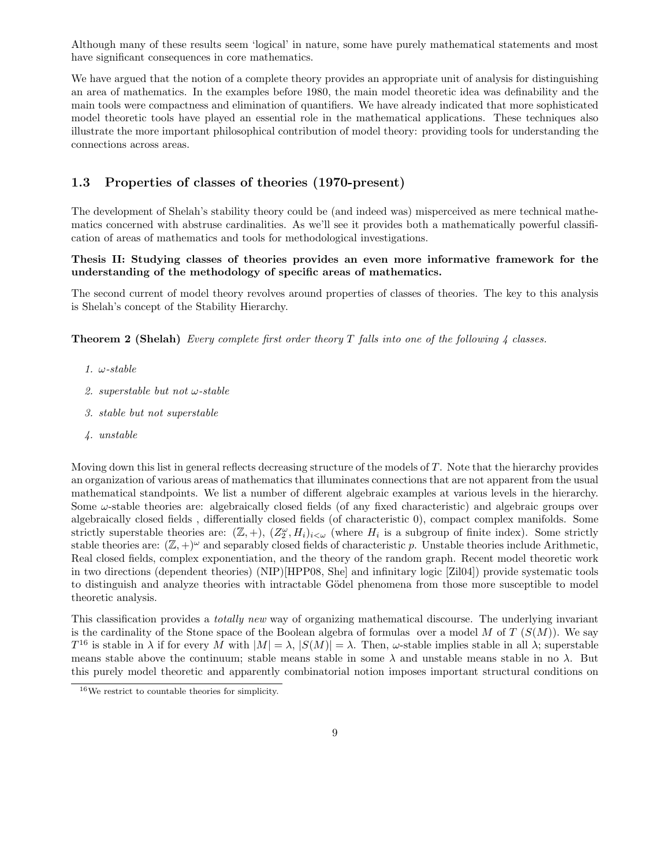Although many of these results seem 'logical' in nature, some have purely mathematical statements and most have significant consequences in core mathematics.

We have argued that the notion of a complete theory provides an appropriate unit of analysis for distinguishing an area of mathematics. In the examples before 1980, the main model theoretic idea was definability and the main tools were compactness and elimination of quantifiers. We have already indicated that more sophisticated model theoretic tools have played an essential role in the mathematical applications. These techniques also illustrate the more important philosophical contribution of model theory: providing tools for understanding the connections across areas.

#### 1.3 Properties of classes of theories (1970-present)

The development of Shelah's stability theory could be (and indeed was) misperceived as mere technical mathematics concerned with abstruse cardinalities. As we'll see it provides both a mathematically powerful classification of areas of mathematics and tools for methodological investigations.

#### Thesis II: Studying classes of theories provides an even more informative framework for the understanding of the methodology of specific areas of mathematics.

The second current of model theory revolves around properties of classes of theories. The key to this analysis is Shelah's concept of the Stability Hierarchy.

**Theorem 2 (Shelah)** Every complete first order theory  $T$  falls into one of the following 4 classes.

- 1.  $\omega$ -stable
- 2. superstable but not  $\omega$ -stable
- 3. stable but not superstable
- 4. unstable

Moving down this list in general reflects decreasing structure of the models of  $T$ . Note that the hierarchy provides an organization of various areas of mathematics that illuminates connections that are not apparent from the usual mathematical standpoints. We list a number of different algebraic examples at various levels in the hierarchy. Some  $\omega$ -stable theories are: algebraically closed fields (of any fixed characteristic) and algebraic groups over algebraically closed fields , differentially closed fields (of characteristic 0), compact complex manifolds. Some strictly superstable theories are:  $(\mathbb{Z}, +), (Z_2^{\omega}, H_i)_{i \leq \omega}$  (where  $H_i$  is a subgroup of finite index). Some strictly stable theories are:  $(\mathbb{Z}, +)^{\omega}$  and separably closed fields of characteristic p. Unstable theories include Arithmetic, Real closed fields, complex exponentiation, and the theory of the random graph. Recent model theoretic work in two directions (dependent theories) (NIP)[HPP08, She] and infinitary logic [Zil04]) provide systematic tools to distinguish and analyze theories with intractable Gödel phenomena from those more susceptible to model theoretic analysis.

This classification provides a totally new way of organizing mathematical discourse. The underlying invariant is the cardinality of the Stone space of the Boolean algebra of formulas over a model M of  $T(S(M))$ . We say  $T^{16}$  is stable in  $\lambda$  if for every M with  $|M| = \lambda$ ,  $|S(M)| = \lambda$ . Then,  $\omega$ -stable implies stable in all  $\lambda$ ; superstable means stable above the continuum; stable means stable in some  $\lambda$  and unstable means stable in no  $\lambda$ . But this purely model theoretic and apparently combinatorial notion imposes important structural conditions on

<sup>16</sup>We restrict to countable theories for simplicity.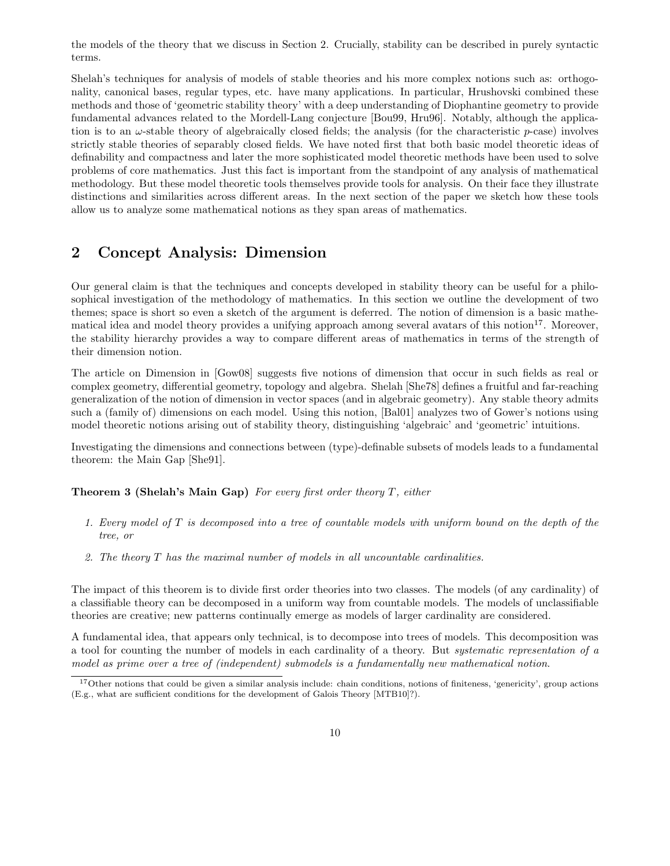the models of the theory that we discuss in Section 2. Crucially, stability can be described in purely syntactic terms.

Shelah's techniques for analysis of models of stable theories and his more complex notions such as: orthogonality, canonical bases, regular types, etc. have many applications. In particular, Hrushovski combined these methods and those of 'geometric stability theory' with a deep understanding of Diophantine geometry to provide fundamental advances related to the Mordell-Lang conjecture [Bou99, Hru96]. Notably, although the application is to an  $\omega$ -stable theory of algebraically closed fields; the analysis (for the characteristic p-case) involves strictly stable theories of separably closed fields. We have noted first that both basic model theoretic ideas of definability and compactness and later the more sophisticated model theoretic methods have been used to solve problems of core mathematics. Just this fact is important from the standpoint of any analysis of mathematical methodology. But these model theoretic tools themselves provide tools for analysis. On their face they illustrate distinctions and similarities across different areas. In the next section of the paper we sketch how these tools allow us to analyze some mathematical notions as they span areas of mathematics.

## 2 Concept Analysis: Dimension

Our general claim is that the techniques and concepts developed in stability theory can be useful for a philosophical investigation of the methodology of mathematics. In this section we outline the development of two themes; space is short so even a sketch of the argument is deferred. The notion of dimension is a basic mathematical idea and model theory provides a unifying approach among several avatars of this notion<sup>17</sup>. Moreover, the stability hierarchy provides a way to compare different areas of mathematics in terms of the strength of their dimension notion.

The article on Dimension in [Gow08] suggests five notions of dimension that occur in such fields as real or complex geometry, differential geometry, topology and algebra. Shelah [She78] defines a fruitful and far-reaching generalization of the notion of dimension in vector spaces (and in algebraic geometry). Any stable theory admits such a (family of) dimensions on each model. Using this notion, [Bal01] analyzes two of Gower's notions using model theoretic notions arising out of stability theory, distinguishing 'algebraic' and 'geometric' intuitions.

Investigating the dimensions and connections between (type)-definable subsets of models leads to a fundamental theorem: the Main Gap [She91].

#### **Theorem 3 (Shelah's Main Gap)** For every first order theory  $T$ , either

- 1. Every model of  $T$  is decomposed into a tree of countable models with uniform bound on the depth of the tree, or
- 2. The theory  $T$  has the maximal number of models in all uncountable cardinalities.

The impact of this theorem is to divide first order theories into two classes. The models (of any cardinality) of a classifiable theory can be decomposed in a uniform way from countable models. The models of unclassifiable theories are creative; new patterns continually emerge as models of larger cardinality are considered.

A fundamental idea, that appears only technical, is to decompose into trees of models. This decomposition was a tool for counting the number of models in each cardinality of a theory. But systematic representation of a model as prime over a tree of (independent) submodels is a fundamentally new mathematical notion.

<sup>&</sup>lt;sup>17</sup>Other notions that could be given a similar analysis include: chain conditions, notions of finiteness, 'genericity', group actions (E.g., what are sufficient conditions for the development of Galois Theory [MTB10]?).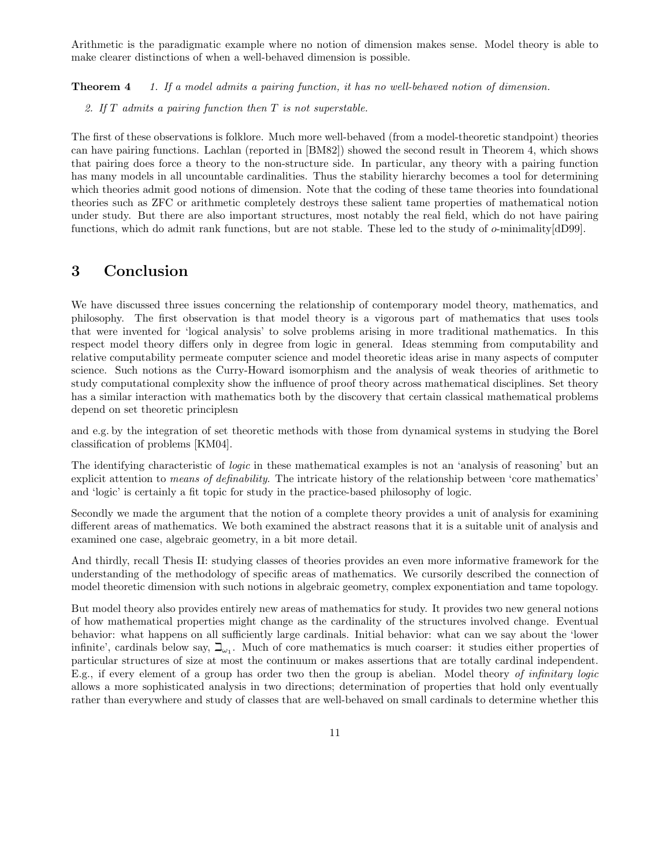Arithmetic is the paradigmatic example where no notion of dimension makes sense. Model theory is able to make clearer distinctions of when a well-behaved dimension is possible.

**Theorem 4** 1. If a model admits a pairing function, it has no well-behaved notion of dimension.

2. If  $T$  admits a pairing function then  $T$  is not superstable.

The first of these observations is folklore. Much more well-behaved (from a model-theoretic standpoint) theories can have pairing functions. Lachlan (reported in [BM82]) showed the second result in Theorem 4, which shows that pairing does force a theory to the non-structure side. In particular, any theory with a pairing function has many models in all uncountable cardinalities. Thus the stability hierarchy becomes a tool for determining which theories admit good notions of dimension. Note that the coding of these tame theories into foundational theories such as ZFC or arithmetic completely destroys these salient tame properties of mathematical notion under study. But there are also important structures, most notably the real field, which do not have pairing functions, which do admit rank functions, but are not stable. These led to the study of  $o$ -minimality[dD99].

## 3 Conclusion

We have discussed three issues concerning the relationship of contemporary model theory, mathematics, and philosophy. The first observation is that model theory is a vigorous part of mathematics that uses tools that were invented for 'logical analysis' to solve problems arising in more traditional mathematics. In this respect model theory differs only in degree from logic in general. Ideas stemming from computability and relative computability permeate computer science and model theoretic ideas arise in many aspects of computer science. Such notions as the Curry-Howard isomorphism and the analysis of weak theories of arithmetic to study computational complexity show the influence of proof theory across mathematical disciplines. Set theory has a similar interaction with mathematics both by the discovery that certain classical mathematical problems depend on set theoretic principlesn

and e.g. by the integration of set theoretic methods with those from dynamical systems in studying the Borel classification of problems [KM04].

The identifying characteristic of logic in these mathematical examples is not an 'analysis of reasoning' but an explicit attention to *means of definability*. The intricate history of the relationship between 'core mathematics' and 'logic' is certainly a fit topic for study in the practice-based philosophy of logic.

Secondly we made the argument that the notion of a complete theory provides a unit of analysis for examining different areas of mathematics. We both examined the abstract reasons that it is a suitable unit of analysis and examined one case, algebraic geometry, in a bit more detail.

And thirdly, recall Thesis II: studying classes of theories provides an even more informative framework for the understanding of the methodology of specific areas of mathematics. We cursorily described the connection of model theoretic dimension with such notions in algebraic geometry, complex exponentiation and tame topology.

But model theory also provides entirely new areas of mathematics for study. It provides two new general notions of how mathematical properties might change as the cardinality of the structures involved change. Eventual behavior: what happens on all sufficiently large cardinals. Initial behavior: what can we say about the 'lower infinite', cardinals below say,  $\Box_{\omega_1}$ . Much of core mathematics is much coarser: it studies either properties of particular structures of size at most the continuum or makes assertions that are totally cardinal independent. E.g., if every element of a group has order two then the group is abelian. Model theory of infinitary logic allows a more sophisticated analysis in two directions; determination of properties that hold only eventually rather than everywhere and study of classes that are well-behaved on small cardinals to determine whether this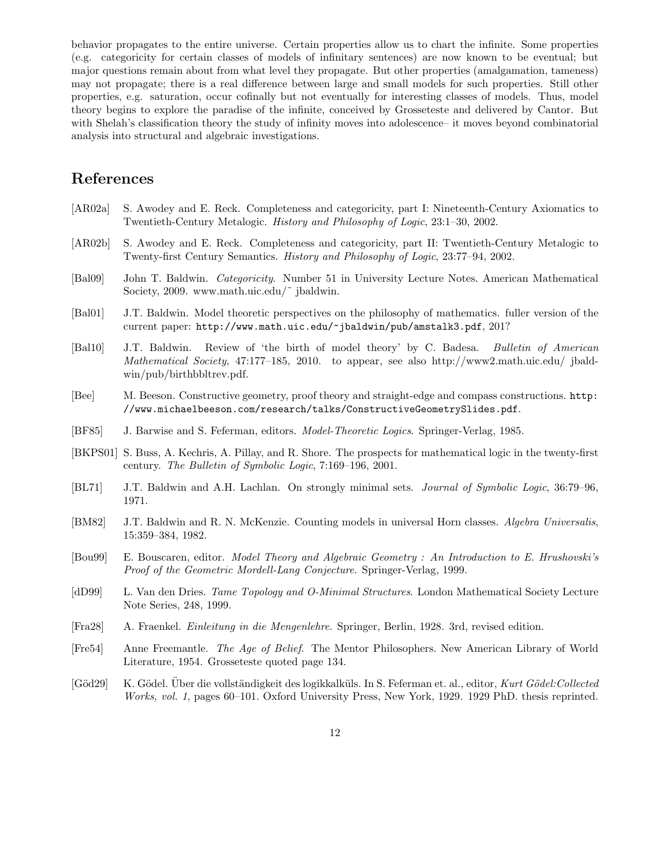behavior propagates to the entire universe. Certain properties allow us to chart the infinite. Some properties (e.g. categoricity for certain classes of models of infinitary sentences) are now known to be eventual; but major questions remain about from what level they propagate. But other properties (amalgamation, tameness) may not propagate; there is a real difference between large and small models for such properties. Still other properties, e.g. saturation, occur cofinally but not eventually for interesting classes of models. Thus, model theory begins to explore the paradise of the infinite, conceived by Grosseteste and delivered by Cantor. But with Shelah's classification theory the study of infinity moves into adolescence– it moves beyond combinatorial analysis into structural and algebraic investigations.

# References

- [AR02a] S. Awodey and E. Reck. Completeness and categoricity, part I: Nineteenth-Century Axiomatics to Twentieth-Century Metalogic. History and Philosophy of Logic, 23:1–30, 2002.
- [AR02b] S. Awodey and E. Reck. Completeness and categoricity, part II: Twentieth-Century Metalogic to Twenty-first Century Semantics. History and Philosophy of Logic, 23:77–94, 2002.
- [Bal09] John T. Baldwin. Categoricity. Number 51 in University Lecture Notes. American Mathematical Society, 2009. www.math.uic.edu/ $\tilde{\ }$  jbaldwin.
- [Bal01] J.T. Baldwin. Model theoretic perspectives on the philosophy of mathematics. fuller version of the current paper: http://www.math.uic.edu/~jbaldwin/pub/amstalk3.pdf, 201?
- [Bal10] J.T. Baldwin. Review of 'the birth of model theory' by C. Badesa. Bulletin of American Mathematical Society, 47:177–185, 2010. to appear, see also http://www2.math.uic.edu/ jbaldwin/pub/birthbbltrev.pdf.
- [Bee] M. Beeson. Constructive geometry, proof theory and straight-edge and compass constructions. http: //www.michaelbeeson.com/research/talks/ConstructiveGeometrySlides.pdf.
- [BF85] J. Barwise and S. Feferman, editors. Model-Theoretic Logics. Springer-Verlag, 1985.
- [BKPS01] S. Buss, A. Kechris, A. Pillay, and R. Shore. The prospects for mathematical logic in the twenty-first century. The Bulletin of Symbolic Logic, 7:169–196, 2001.
- [BL71] J.T. Baldwin and A.H. Lachlan. On strongly minimal sets. *Journal of Symbolic Logic*, 36:79–96, 1971.
- [BM82] J.T. Baldwin and R. N. McKenzie. Counting models in universal Horn classes. Algebra Universalis, 15:359–384, 1982.
- [Bou99] E. Bouscaren, editor. Model Theory and Algebraic Geometry : An Introduction to E. Hrushovski's Proof of the Geometric Mordell-Lang Conjecture. Springer-Verlag, 1999.
- [dD99] L. Van den Dries. Tame Topology and O-Minimal Structures. London Mathematical Society Lecture Note Series, 248, 1999.
- [Fra28] A. Fraenkel. Einleitung in die Mengenlehre. Springer, Berlin, 1928. 3rd, revised edition.
- [Fre54] Anne Freemantle. The Age of Belief. The Mentor Philosophers. New American Library of World Literature, 1954. Grosseteste quoted page 134.
- [Göd29] K. Gödel. Uber die vollständigkeit des logikkalküls. In S. Feferman et. al., editor, Kurt Gödel:Collected Works, vol. 1, pages 60–101. Oxford University Press, New York, 1929. 1929 PhD. thesis reprinted.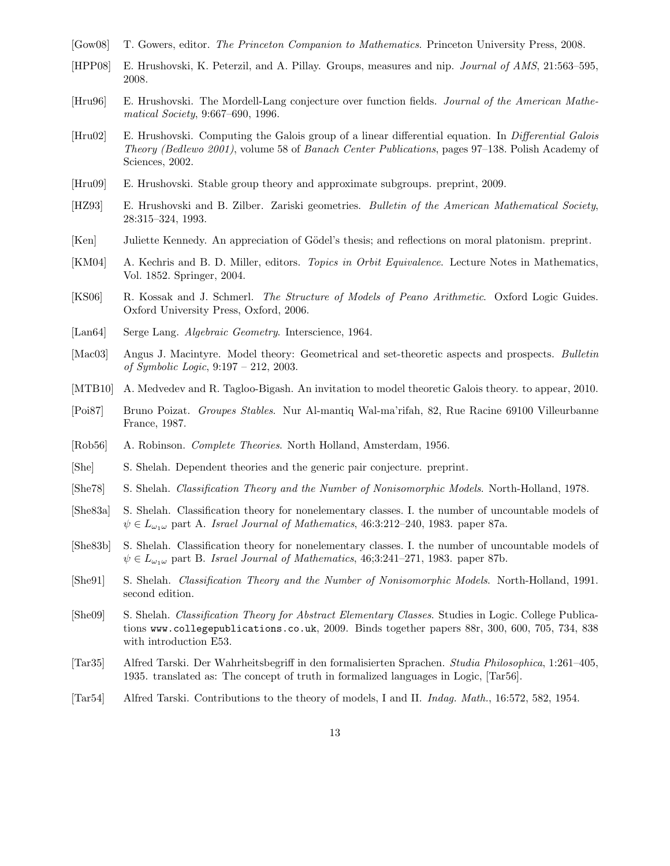- [Gow08] T. Gowers, editor. The Princeton Companion to Mathematics. Princeton University Press, 2008.
- [HPP08] E. Hrushovski, K. Peterzil, and A. Pillay. Groups, measures and nip. Journal of AMS, 21:563–595, 2008.
- [Hru96] E. Hrushovski. The Mordell-Lang conjecture over function fields. Journal of the American Mathematical Society, 9:667–690, 1996.
- [Hru02] E. Hrushovski. Computing the Galois group of a linear differential equation. In Differential Galois Theory (Bedlewo 2001), volume 58 of Banach Center Publications, pages 97–138. Polish Academy of Sciences, 2002.
- [Hru09] E. Hrushovski. Stable group theory and approximate subgroups. preprint, 2009.
- [HZ93] E. Hrushovski and B. Zilber. Zariski geometries. Bulletin of the American Mathematical Society, 28:315–324, 1993.
- [Ken] Juliette Kennedy. An appreciation of Gödel's thesis; and reflections on moral platonism. preprint.
- [KM04] A. Kechris and B. D. Miller, editors. Topics in Orbit Equivalence. Lecture Notes in Mathematics, Vol. 1852. Springer, 2004.
- [KS06] R. Kossak and J. Schmerl. The Structure of Models of Peano Arithmetic. Oxford Logic Guides. Oxford University Press, Oxford, 2006.
- [Lan64] Serge Lang. Algebraic Geometry. Interscience, 1964.
- [Mac03] Angus J. Macintyre. Model theory: Geometrical and set-theoretic aspects and prospects. Bulletin of Symbolic Logic, 9:197 – 212, 2003.
- [MTB10] A. Medvedev and R. Tagloo-Bigash. An invitation to model theoretic Galois theory. to appear, 2010.
- [Poi87] Bruno Poizat. Groupes Stables. Nur Al-mantiq Wal-ma'rifah, 82, Rue Racine 69100 Villeurbanne France, 1987.
- [Rob56] A. Robinson. Complete Theories. North Holland, Amsterdam, 1956.
- [She] S. Shelah. Dependent theories and the generic pair conjecture. preprint.
- [She78] S. Shelah. Classification Theory and the Number of Nonisomorphic Models. North-Holland, 1978.
- [She83a] S. Shelah. Classification theory for nonelementary classes. I. the number of uncountable models of  $\psi \in L_{\omega_1\omega}$  part A. Israel Journal of Mathematics, 46:3:212–240, 1983. paper 87a.
- [She83b] S. Shelah. Classification theory for nonelementary classes. I. the number of uncountable models of  $\psi \in L_{\omega_1\omega}$  part B. Israel Journal of Mathematics, 46;3:241–271, 1983. paper 87b.
- [She91] S. Shelah. Classification Theory and the Number of Nonisomorphic Models. North-Holland, 1991. second edition.
- [She09] S. Shelah. Classification Theory for Abstract Elementary Classes. Studies in Logic. College Publications www.collegepublications.co.uk, 2009. Binds together papers 88r, 300, 600, 705, 734, 838 with introduction E53.
- [Tar35] Alfred Tarski. Der Wahrheitsbegriff in den formalisierten Sprachen. Studia Philosophica, 1:261–405, 1935. translated as: The concept of truth in formalized languages in Logic, [Tar56].
- [Tar54] Alfred Tarski. Contributions to the theory of models, I and II. Indag. Math., 16:572, 582, 1954.